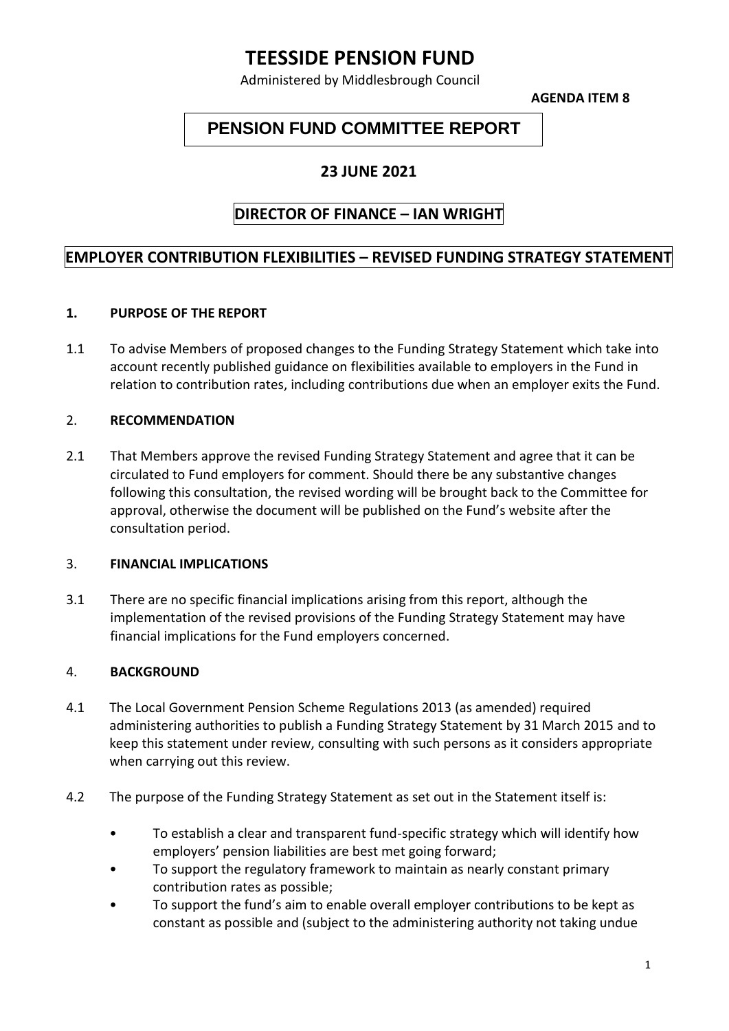# **TEESSIDE PENSION FUND**

Administered by Middlesbrough Council

**AGENDA ITEM 8**

## **PENSION FUND COMMITTEE REPORT**

### **23 JUNE 2021**

## **DIRECTOR OF FINANCE – IAN WRIGHT**

## **EMPLOYER CONTRIBUTION FLEXIBILITIES – REVISED FUNDING STRATEGY STATEMENT**

#### **1. PURPOSE OF THE REPORT**

1.1 To advise Members of proposed changes to the Funding Strategy Statement which take into account recently published guidance on flexibilities available to employers in the Fund in relation to contribution rates, including contributions due when an employer exits the Fund.

#### 2. **RECOMMENDATION**

2.1 That Members approve the revised Funding Strategy Statement and agree that it can be circulated to Fund employers for comment. Should there be any substantive changes following this consultation, the revised wording will be brought back to the Committee for approval, otherwise the document will be published on the Fund's website after the consultation period.

#### 3. **FINANCIAL IMPLICATIONS**

3.1 There are no specific financial implications arising from this report, although the implementation of the revised provisions of the Funding Strategy Statement may have financial implications for the Fund employers concerned.

#### 4. **BACKGROUND**

- 4.1 The Local Government Pension Scheme Regulations 2013 (as amended) required administering authorities to publish a Funding Strategy Statement by 31 March 2015 and to keep this statement under review, consulting with such persons as it considers appropriate when carrying out this review.
- 4.2 The purpose of the Funding Strategy Statement as set out in the Statement itself is:
	- To establish a clear and transparent fund-specific strategy which will identify how employers' pension liabilities are best met going forward;
	- To support the regulatory framework to maintain as nearly constant primary contribution rates as possible;
	- To support the fund's aim to enable overall employer contributions to be kept as constant as possible and (subject to the administering authority not taking undue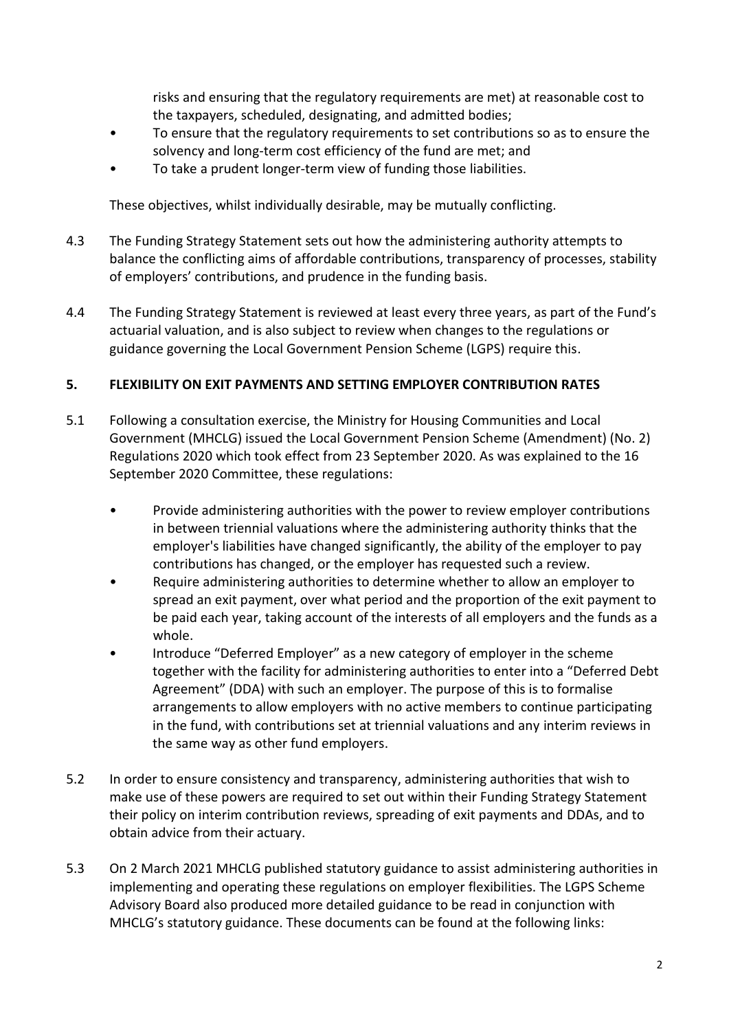risks and ensuring that the regulatory requirements are met) at reasonable cost to the taxpayers, scheduled, designating, and admitted bodies;

- To ensure that the regulatory requirements to set contributions so as to ensure the solvency and long-term cost efficiency of the fund are met; and
- To take a prudent longer-term view of funding those liabilities.

These objectives, whilst individually desirable, may be mutually conflicting.

- 4.3 The Funding Strategy Statement sets out how the administering authority attempts to balance the conflicting aims of affordable contributions, transparency of processes, stability of employers' contributions, and prudence in the funding basis.
- 4.4 The Funding Strategy Statement is reviewed at least every three years, as part of the Fund's actuarial valuation, and is also subject to review when changes to the regulations or guidance governing the Local Government Pension Scheme (LGPS) require this.

#### **5. FLEXIBILITY ON EXIT PAYMENTS AND SETTING EMPLOYER CONTRIBUTION RATES**

- 5.1 Following a consultation exercise, the Ministry for Housing Communities and Local Government (MHCLG) issued the Local Government Pension Scheme (Amendment) (No. 2) Regulations 2020 which took effect from 23 September 2020. As was explained to the 16 September 2020 Committee, these regulations:
	- Provide administering authorities with the power to review employer contributions in between triennial valuations where the administering authority thinks that the employer's liabilities have changed significantly, the ability of the employer to pay contributions has changed, or the employer has requested such a review.
	- Require administering authorities to determine whether to allow an employer to spread an exit payment, over what period and the proportion of the exit payment to be paid each year, taking account of the interests of all employers and the funds as a whole.
	- Introduce "Deferred Employer" as a new category of employer in the scheme together with the facility for administering authorities to enter into a "Deferred Debt Agreement" (DDA) with such an employer. The purpose of this is to formalise arrangements to allow employers with no active members to continue participating in the fund, with contributions set at triennial valuations and any interim reviews in the same way as other fund employers.
- 5.2 In order to ensure consistency and transparency, administering authorities that wish to make use of these powers are required to set out within their Funding Strategy Statement their policy on interim contribution reviews, spreading of exit payments and DDAs, and to obtain advice from their actuary.
- 5.3 On 2 March 2021 MHCLG published statutory guidance to assist administering authorities in implementing and operating these regulations on employer flexibilities. The LGPS Scheme Advisory Board also produced more detailed guidance to be read in conjunction with MHCLG's statutory guidance. These documents can be found at the following links: